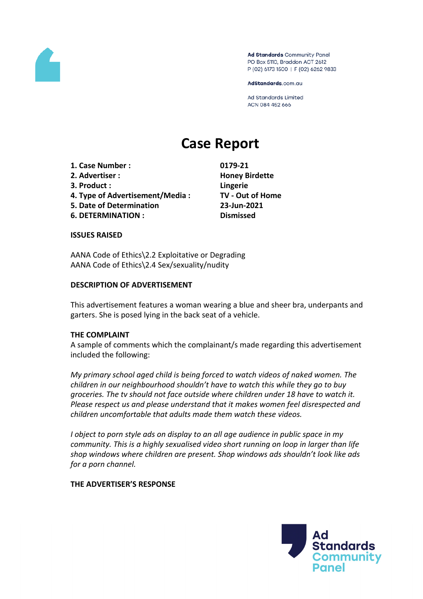

Ad Standards Community Panel PO Box 5110, Braddon ACT 2612 P (02) 6173 1500 | F (02) 6262 9833

AdStandards.com.au

**Ad Standards Limited** ACN 084 452 666

# **Case Report**

- **1. Case Number : 0179-21**
- **2. Advertiser : Honey Birdette**
- **3. Product : Lingerie**
- **4. Type of Advertisement/Media : TV - Out of Home**
- **5. Date of Determination 23-Jun-2021**
- **6. DETERMINATION : Dismissed**

## **ISSUES RAISED**

AANA Code of Ethics\2.2 Exploitative or Degrading AANA Code of Ethics\2.4 Sex/sexuality/nudity

## **DESCRIPTION OF ADVERTISEMENT**

This advertisement features a woman wearing a blue and sheer bra, underpants and garters. She is posed lying in the back seat of a vehicle.

## **THE COMPLAINT**

A sample of comments which the complainant/s made regarding this advertisement included the following:

*My primary school aged child is being forced to watch videos of naked women. The children in our neighbourhood shouldn't have to watch this while they go to buy groceries. The tv should not face outside where children under 18 have to watch it. Please respect us and please understand that it makes women feel disrespected and children uncomfortable that adults made them watch these videos.*

*I object to porn style ads on display to an all age audience in public space in my community. This is a highly sexualised video short running on loop in larger than life shop windows where children are present. Shop windows ads shouldn't look like ads for a porn channel.*

## **THE ADVERTISER'S RESPONSE**

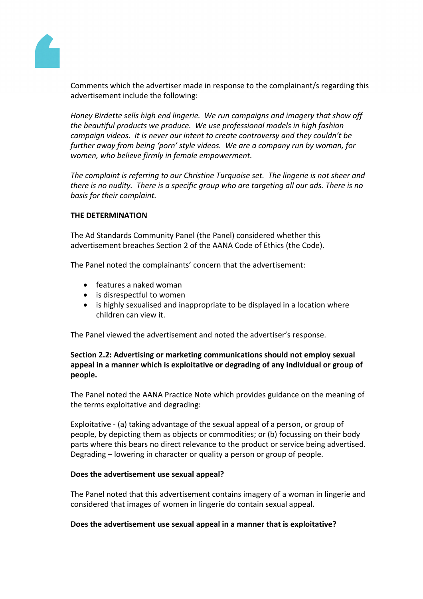

Comments which the advertiser made in response to the complainant/s regarding this advertisement include the following:

*Honey Birdette sells high end lingerie. We run campaigns and imagery that show off the beautiful products we produce. We use professional models in high fashion campaign videos. It is never our intent to create controversy and they couldn't be further away from being 'porn' style videos. We are a company run by woman, for women, who believe firmly in female empowerment.*

*The complaint is referring to our Christine Turquoise set. The lingerie is not sheer and there is no nudity. There is a specific group who are targeting all our ads. There is no basis for their complaint.*

## **THE DETERMINATION**

The Ad Standards Community Panel (the Panel) considered whether this advertisement breaches Section 2 of the AANA Code of Ethics (the Code).

The Panel noted the complainants' concern that the advertisement:

- features a naked woman
- is disrespectful to women
- is highly sexualised and inappropriate to be displayed in a location where children can view it.

The Panel viewed the advertisement and noted the advertiser's response.

# **Section 2.2: Advertising or marketing communications should not employ sexual appeal in a manner which is exploitative or degrading of any individual or group of people.**

The Panel noted the AANA Practice Note which provides guidance on the meaning of the terms exploitative and degrading:

Exploitative - (a) taking advantage of the sexual appeal of a person, or group of people, by depicting them as objects or commodities; or (b) focussing on their body parts where this bears no direct relevance to the product or service being advertised. Degrading – lowering in character or quality a person or group of people.

## **Does the advertisement use sexual appeal?**

The Panel noted that this advertisement contains imagery of a woman in lingerie and considered that images of women in lingerie do contain sexual appeal.

## **Does the advertisement use sexual appeal in a manner that is exploitative?**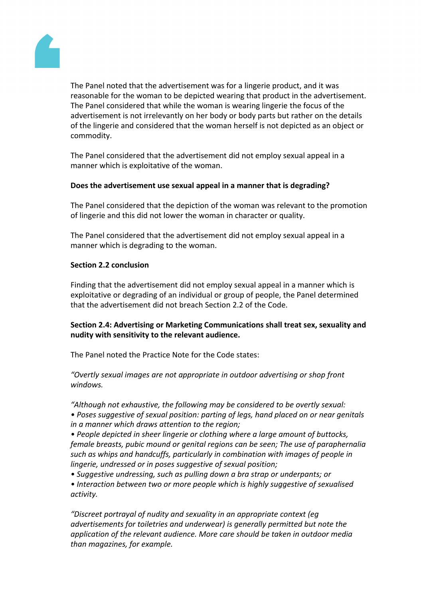

The Panel noted that the advertisement was for a lingerie product, and it was reasonable for the woman to be depicted wearing that product in the advertisement. The Panel considered that while the woman is wearing lingerie the focus of the advertisement is not irrelevantly on her body or body parts but rather on the details of the lingerie and considered that the woman herself is not depicted as an object or commodity.

The Panel considered that the advertisement did not employ sexual appeal in a manner which is exploitative of the woman.

## **Does the advertisement use sexual appeal in a manner that is degrading?**

The Panel considered that the depiction of the woman was relevant to the promotion of lingerie and this did not lower the woman in character or quality.

The Panel considered that the advertisement did not employ sexual appeal in a manner which is degrading to the woman.

#### **Section 2.2 conclusion**

Finding that the advertisement did not employ sexual appeal in a manner which is exploitative or degrading of an individual or group of people, the Panel determined that the advertisement did not breach Section 2.2 of the Code.

# **Section 2.4: Advertising or Marketing Communications shall treat sex, sexuality and nudity with sensitivity to the relevant audience.**

The Panel noted the Practice Note for the Code states:

*"Overtly sexual images are not appropriate in outdoor advertising or shop front windows.*

*"Although not exhaustive, the following may be considered to be overtly sexual: • Poses suggestive of sexual position: parting of legs, hand placed on or near genitals in a manner which draws attention to the region;*

*• People depicted in sheer lingerie or clothing where a large amount of buttocks, female breasts, pubic mound or genital regions can be seen; The use of paraphernalia such as whips and handcuffs, particularly in combination with images of people in lingerie, undressed or in poses suggestive of sexual position;*

- *• Suggestive undressing, such as pulling down a bra strap or underpants; or*
- *• Interaction between two or more people which is highly suggestive of sexualised activity.*

*"Discreet portrayal of nudity and sexuality in an appropriate context (eg advertisements for toiletries and underwear) is generally permitted but note the application of the relevant audience. More care should be taken in outdoor media than magazines, for example.*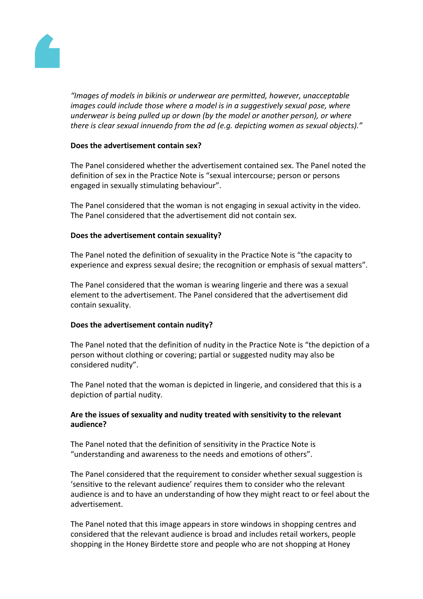

*"Images of models in bikinis or underwear are permitted, however, unacceptable images could include those where a model is in a suggestively sexual pose, where underwear is being pulled up or down (by the model or another person), or where there is clear sexual innuendo from the ad (e.g. depicting women as sexual objects)."*

## **Does the advertisement contain sex?**

The Panel considered whether the advertisement contained sex. The Panel noted the definition of sex in the Practice Note is "sexual intercourse; person or persons engaged in sexually stimulating behaviour".

The Panel considered that the woman is not engaging in sexual activity in the video. The Panel considered that the advertisement did not contain sex.

#### **Does the advertisement contain sexuality?**

The Panel noted the definition of sexuality in the Practice Note is "the capacity to experience and express sexual desire; the recognition or emphasis of sexual matters".

The Panel considered that the woman is wearing lingerie and there was a sexual element to the advertisement. The Panel considered that the advertisement did contain sexuality.

#### **Does the advertisement contain nudity?**

The Panel noted that the definition of nudity in the Practice Note is "the depiction of a person without clothing or covering; partial or suggested nudity may also be considered nudity".

The Panel noted that the woman is depicted in lingerie, and considered that this is a depiction of partial nudity.

# **Are the issues of sexuality and nudity treated with sensitivity to the relevant audience?**

The Panel noted that the definition of sensitivity in the Practice Note is "understanding and awareness to the needs and emotions of others".

The Panel considered that the requirement to consider whether sexual suggestion is 'sensitive to the relevant audience' requires them to consider who the relevant audience is and to have an understanding of how they might react to or feel about the advertisement.

The Panel noted that this image appears in store windows in shopping centres and considered that the relevant audience is broad and includes retail workers, people shopping in the Honey Birdette store and people who are not shopping at Honey